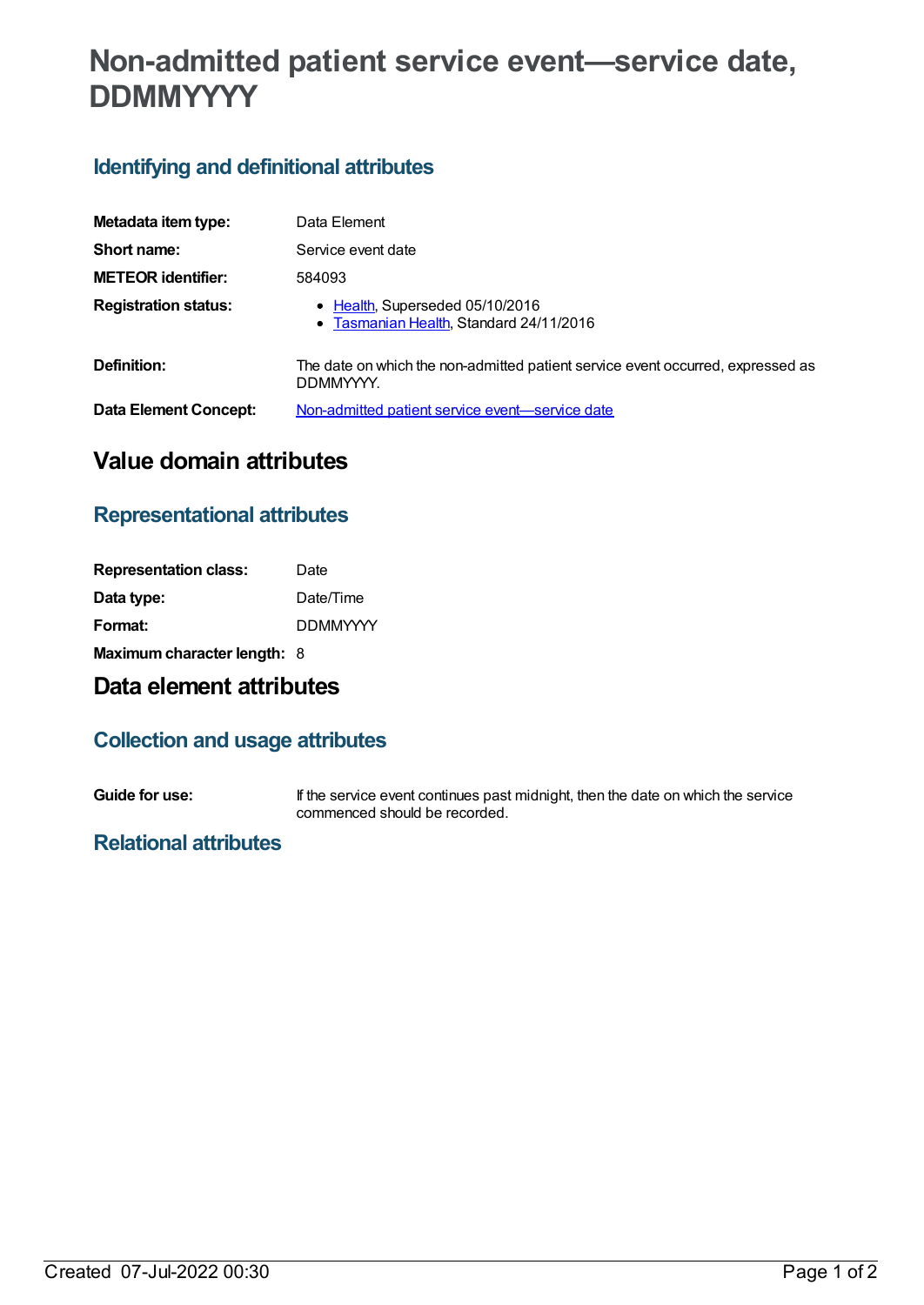# **Non-admitted patient service event—service date, DDMMYYYY**

## **Identifying and definitional attributes**

| Metadata item type:         | Data Element                                                                                 |
|-----------------------------|----------------------------------------------------------------------------------------------|
| Short name:                 | Service event date                                                                           |
| <b>METEOR identifier:</b>   | 584093                                                                                       |
| <b>Registration status:</b> | • Health, Superseded 05/10/2016<br>• Tasmanian Health, Standard 24/11/2016                   |
| Definition:                 | The date on which the non-admitted patient service event occurred, expressed as<br>DDMMYYYY. |
| Data Element Concept:       | Non-admitted patient service event-service date                                              |

## **Value domain attributes**

#### **Representational attributes**

| <b>Representation class:</b>       | Date            |
|------------------------------------|-----------------|
| Data type:                         | Date/Time       |
| Format:                            | <b>DDMMYYYY</b> |
| <b>Maximum character length: 8</b> |                 |

## **Data element attributes**

#### **Collection and usage attributes**

**Guide for use:** If the service event continues past midnight, then the date on which the service commenced should be recorded.

#### **Relational attributes**